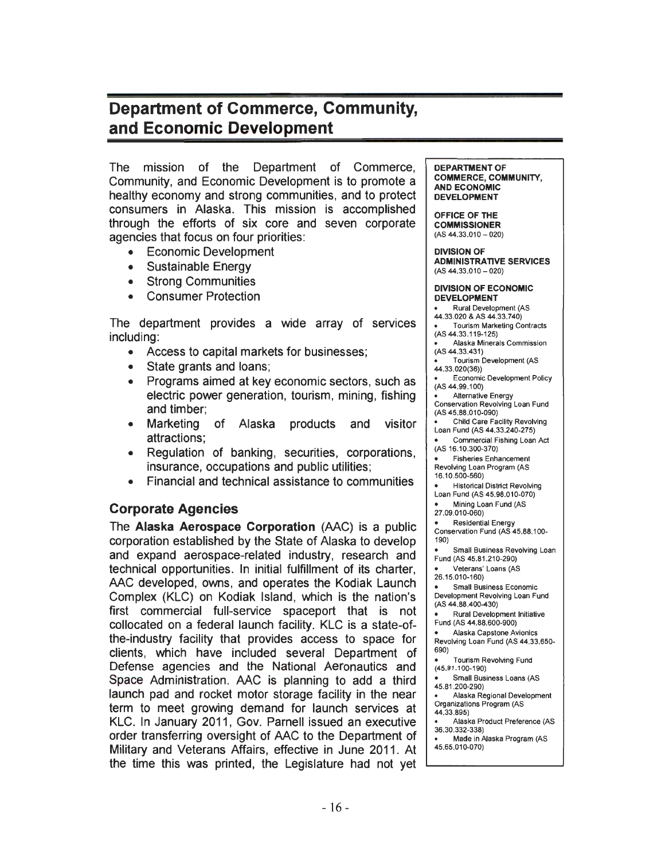# Department of Commerce, Community, and Economic Development

The mission of the Department of Commerce, Community, and Economic Development is to promote a healthy economy and strong communities, and to protect consumers in Alaska. This mission is accomplished through the efforts of six core and seven corporate agencies that focus on four priorities:

- Economic Development
- Sustainable Energy
- Strong Communities
- Consumer Protection

The department provides a wide array of services including:

- Access to capital markets for businesses;
- State grants and loans;
- Programs aimed at key economic sectors, such as electric power generation, tourism, mining, fishing and timber;
- Marketing of Alaska products and visitor attractions;
- Regulation of banking, securities, corporations, insurance, occupations and public utilities;
- Financial and technical assistance to communities

## Corporate Agencies

The Alaska Aerospace Corporation (AAC) is a public corporation established by the State of Alaska to develop and expand aerospace-related industry, research and technical opportunities. In initial fulfillment of its charter, AAC developed, owns, and operates the Kodiak Launch Complex (KLC) on Kodiak Island, which is the nation's first commercial full-service spaceport that is not collocated on a federal launch facility. KLC is a state-ofthe-industry facility that provides access to space for clients, which have included several Department of Defense agencies and the National Aeronautics and Space Administration. AAC is planning to add a third launch pad and rocket motor storage facility in the near term to meet growing demand for launch services at KLC. In January 2011, Gov. Parnell issued an executive order transferring oversight of AAC to the Department of Military and Veterans Affairs, effective in June 2011. At the time this was printed, the Legislature had not yet DEPARTMENT OF COMMERCE, COMMUNITY, AND ECONOMIC DEVELOPMENT

OFFICE OF THE COMMISSIONER  $(AS 44.33.010 - 020)$ 

DIVISION OF ADMINISTRATIVE SERVICES  $(AS 44.33.010 - 020)$ 

#### DIVISION OF ECONOMIC DEVELOPMENT

Rural Development (AS 44.33.020 & AS 44.33.740) Tourism Marketing Contracts (AS 44.33.119-125) Alaska Minerals Commission (AS 44.33.431) Tourism Development (AS 44.33.020(36)) Economic Development Policy (AS 44.99.100) Alternative Energy Conservation Revolving Loan Fund (AS 45.88.010-090) Child Care Facility Revolving Loan Fund (AS 44.33.240-275) Commercial Fishing Loan Act (AS 16.10.300-370) Fisheries Enhancement Revolving Loan Program (AS 16.10.500-560)

Historical District Revolving Loan Fund (AS 45.98.010-070)

Mining Loan Fund (AS

27.09.010-060)

**Residential Energy** Conservation Fund (AS 45.88.100- 190)

Small Business Revolving Loan

Fund (AS 45.81.210-290) Veterans' Loans (AS

26.15.010-160)

Small Business Economic Development Revolving Loan Fund (AS 44.88.400-430)

Rural Development Initiative Fund (AS 44.88.600-900)

Alaska Capstone Avionics Revolving Loan Fund (AS 44.33.650- 690)

Tourism Revolving Fund (45.81 .100-190)

Small Business Loans (AS 45.81.200-290)

Alaska Regional Development Organizations Program (AS

44.33.895) Alaska Product Preference (AS

36.30.332-338)

Made in Alaska Program (AS 45.65.010-070)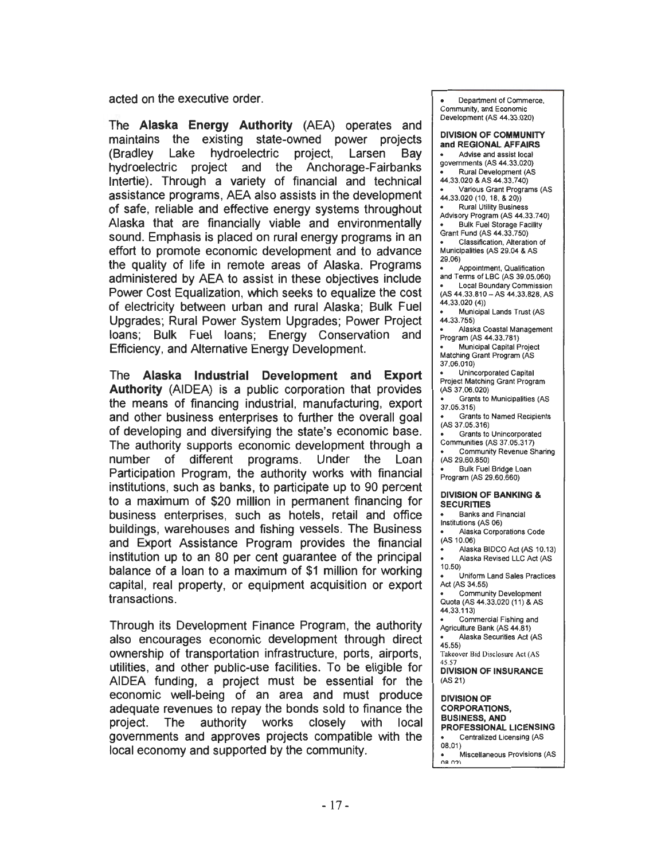acted on the executive order.

The Alaska Energy Authority (AEA) operates and maintains the existing state-owned power projects (Bradley Lake hydroelectric project, Larsen Bay hydroelectric project and the Anchorage-Fairbanks lntertie). Through a variety of financial and technical assistance programs, AEA also assists in the development of safe, reliable and effective energy systems throughout Alaska that are financially viable and environmentally sound. Emphasis is placed on rural energy programs in an effort to promote economic development and to advance the quality of life in remote areas of Alaska. Programs administered by AEA to assist in these objectives include Power Cost Equalization, which seeks to equalize the cost of electricity between urban and rural Alaska; Bulk Fuel Upgrades; Rural Power System Upgrades; Power Project loans; Bulk Fuel loans; Energy Conservation and Efficiency, and Alternative Energy Development.

The Alaska Industrial Development and Export Authority (AIDEA) is a public corporation that provides the means of financing industrial, manufacturing, export and other business enterprises to further the overall goal of developing and diversifying the state's economic base. The authority supports economic development through a number of different programs. Under the Loan Participation Program, the authority works with financial institutions, such as banks, to participate up to 90 percent to a maximum of \$20 million in permanent financing for business enterprises, such as hotels, retail and office buildings, warehouses and fishing vessels. The Business and Export Assistance Program provides the financial institution up to an 80 per cent guarantee of the principal balance of a loan to a maximum of \$1 million for working capital, real property, or equipment acquisition or export transactions.

Through its Development Finance Program, the authority also encourages economic development through direct ownership of transportation infrastructure, ports, airports, utilities, and other public-use facilities. To be eligible for AIDEA funding, a project must be essential for the economic well-being of an area and must produce adequate revenues to repay the bonds sold to finance the project. The authority works closely with local governments and approves projects compatible with the local economy and supported by the community.

Department of Commerce, Community, and Economic Development (AS 44.33.020)

DIVISION OF COMMUNITY and REGIONAL AFFAIRS Advise and assist local governments (AS 44.33.020) Rural Development (AS 44.33.020 & AS 44.33.740) Various Grant Programs (AS 44.33.020 (10, 18, & 20)) Rural Utility Business Advisory Program (AS 44.33.740) Bulk Fuel Storage Facility Grant Fund (AS 44.33.750) Classification, Alteration of Municipalities (AS 29.04 & AS 29.06) Appointment, Qualification and Terms of LBC (AS 39.05.060) Local Boundary Commission (AS 44.33.810-AS 44.33.828, AS 44.33.020 (4)) Municipal Lands Trust (AS 44.33.755) Alaska Coastal Management Program (AS 44.33.781) Municipal Capital Project Matching Grant Program (AS 37.06.010) Unincorporated Capital Project Matching Grant Program (AS 37.06.020) Grants to Municipalities (AS 37.05.315) Grants to Named Recipients (AS 37.05.316) Grants to Unincorporated Communities (AS 37.05.317) Community Revenue Sharing (AS 29.60.850) Bulk Fuel Bridge Loan Program (AS 29.60.660) DIVISION OF BANKING & **SECURITIES** Banks and Financial Institutions (AS 06) Alaska Corporations Code (AS 10.06) Alaska BIDCO Act (AS 10.13)  $\bullet$ Alaska Revised LLC Act (AS 10.50) Uniform Land Sales Practices Act (AS 34.55) Community Development Quota (AS 44.33.020 (11) & AS 44.33.113) Commercial Fishing and Agriculture Bank (AS 44.81) Alaska Securities Act (AS  $45.55)$ Takeover Bid Disclosure Act (AS 45.57 DIVISION OF INSURANCE (AS21) DIVISION OF CORPORATIONS, BUSINESS, AND PROFESSIONAL LICENSING Centralized Licensing (AS 08.01 )

 $\bullet$  Miscellaneous Provisions (AS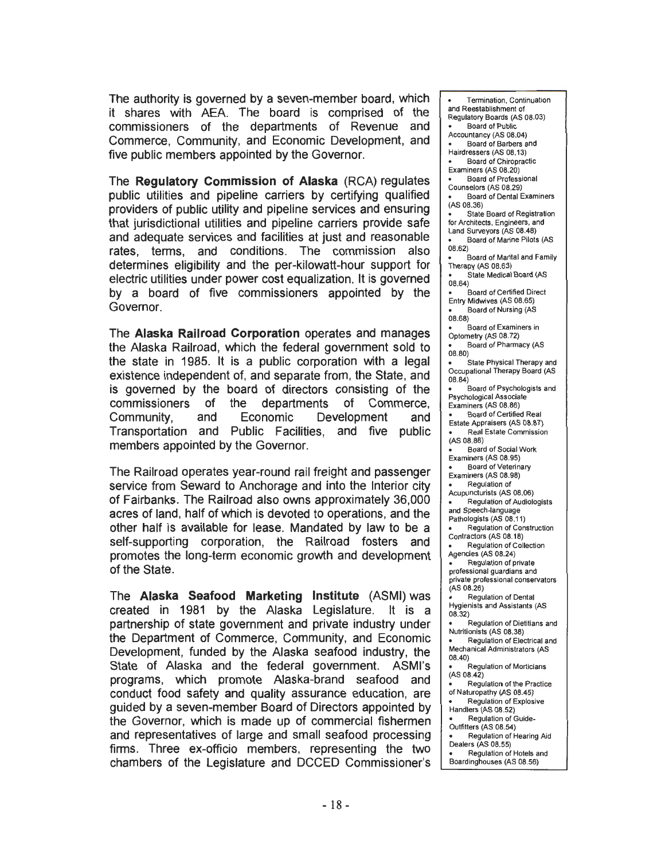The authority is governed by a seven-member board, which it shares with AEA. The board is comprised of the commissioners of the departments of Revenue and Commerce, Community, and Economic Development, and five public members appointed by the Governor.

The Regulatory Commission of Alaska (RCA) regulates public utilities and pipeline carriers by certifying qualified providers of public utility and pipeline services and ensuring that jurisdictional utilities and pipeline carriers provide safe and adequate services and facilities at just and reasonable rates, terms, and conditions. The commission also determines eligibility and the per-kilowatt-hour support for electric utilities under power cost equalization. It is governed by a board of five commissioners appointed by the Governor.

The Alaska Railroad Corporation operates and manages the Alaska Railroad, which the federal government sold to the state in 1985. It is a public corporation with a legal existence independent of, and separate from, the State, and is governed by the board of directors consisting of the commissioners of the departments of Commerce, Community, and Economic Development and Transportation and Public Facilities, and five public members appointed by the Governor.

The Railroad operates year-round rail freight and passenger service from Seward to Anchorage and into the Interior city of Fairbanks. The Railroad also owns approximately 36,000 acres of land, half of which is devoted to operations, and the other half is available for lease. Mandated by law to be a self-supporting corporation, the Railroad fosters and promotes the long-term economic growth and development of the State.

The Alaska Seafood Marketing Institute (ASMI) was created in 1981 by the Alaska Legislature. It is a partnership of state government and private industry under the Department of Commerce, Community, and Economic Development, funded by the Alaska seafood industry, the State of Alaska and the federal government. ASMl's programs, which promote Alaska-brand seafood and conduct food safety and quality assurance education, are guided by a seven-member Board of Directors appointed by the Governor, which is made up of commercial fishermen and representatives of large and small seafood processing firms. Three ex-officio members, representing the two chambers of the Legislature and DCCED Commissioner's

Termination. Continuation and Reestablishment of Regulatory Boards (AS 08.03) Board of Public Accountancy (AS 08.04) Board of Barbers and Hairdressers (AS 08.13) Board of Chiropractic Examiners (AS 08.20) Board of Professional Counselors (AS 08.29) Board of Dental Examiners {AS 08.36) State Board of Registration for Architects, Engineers, and Land Surveyors (AS 08.48) Board of Marine Pilots (AS 08.62) Board of Marital and Family Therapy (AS 08.63) State Medical Board (AS 08.64) Board of Certified Direct Entry Midwives (AS 08.65) Board of Nursing (AS 08.68) Board of Examiners in Optometry (AS 08.72) Board of Pharmacy (AS 08.80) State Physical Therapy and Occupational Therapy Board (AS 08.84) Board of Psychologists and Psychological Associate Examiners (AS 08.86) Board of Certified Real Estate Appraisers (AS 08.87) Real Estate Commission (AS 08.88) Board of Social Work Examiners (AS 08.95) Board of Veterinary Examiners (AS 08.98) Regulation of Acupuncturists (AS 08.06) Regulation of Audiologists and Speech-language Pathologists (AS 08.11) Regulation of Construction Contractors (AS 08.18) Regulation of Collection Agencies (AS 08.24) Regulation of private professional guardians and private professional conservators (AS 08.26) Regulation of Dental Hygienists and Assistants (AS 08.32) Regulation of Dietitians and Nutritionists (AS 08.38) Regulation of Electrical and Mechanical Administrators (AS 08.40) Regulation of Morticians (AS 08.42) Regulation of the Practice of Naturopathy (AS 08.45) Regulation of Explosive Handlers (AS 08.52) Regulation of Guide-Outfitters (AS 08.54) Regulation of Hearing Aid Dealers (AS 08.55) Regulation of Hotels and Boardinghouses (AS 08.56)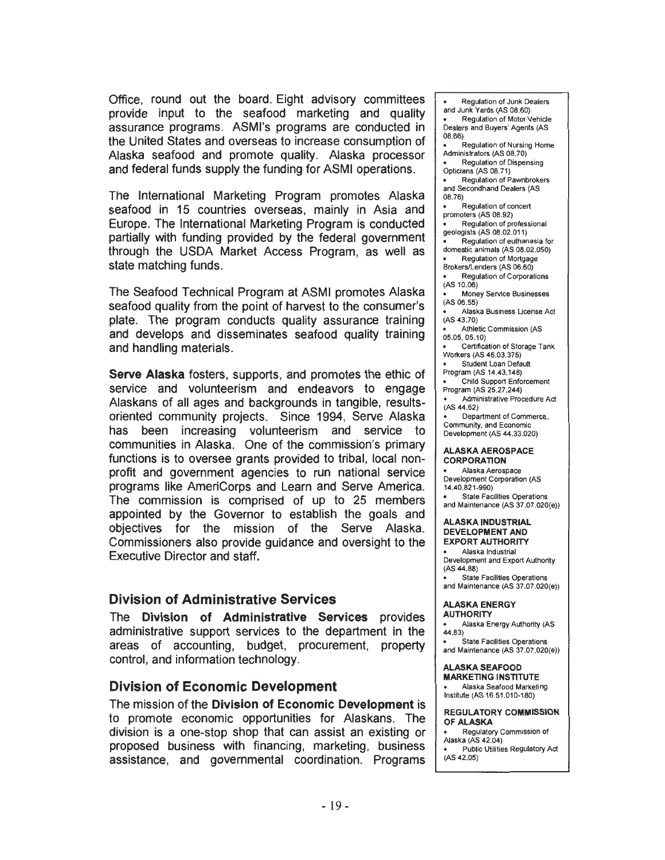Office, round out the board. Eight advisory committees provide input to the seafood marketing and quality assurance programs. ASMl's programs are conducted in the United States and overseas to increase consumption of Alaska seafood and promote quality. Alaska processor and federal funds supply the funding for ASMI operations.

The International Marketing Program promotes Alaska seafood in 15 countries overseas, mainly in Asia and Europe. The International Marketing Program is conducted partially with funding provided by the federal government through the USDA Market Access Program, as well as state matching funds.

The Seafood Technical Program at ASMI promotes Alaska seafood quality from the point of harvest to the consumer's plate. The program conducts quality assurance training and develops and disseminates seafood quality training and handling materials.

Serve Alaska fosters, supports, and promotes the ethic of service and volunteerism and endeavors to engage Alaskans of all ages and backgrounds in tangible, resultsoriented community projects. Since 1994, Serve Alaska has been increasing volunteerism and service to communities in Alaska. One of the commission's primary functions is to oversee grants provided to tribal, local nonprofit and government agencies to run national service programs like AmeriCorps and Learn and Serve America. The commission is comprised of up to 25 members appointed by the Governor to establish the goals and objectives for the mission of the Serve Alaska. Commissioners also provide guidance and oversight to the Executive Director and staff.

## Division of Administrative Services

The Division of Administrative Services provides administrative support services to the department in the areas of accounting, budget, procurement, property control, and information technology.

## Division of Economic Development

The mission of the Division of Economic Development is to promote economic opportunities for Alaskans. The division is a one-stop shop that can assist an existing or proposed business with financing, marketing, business assistance, and governmental coordination. Programs

Regulation of Junk Dealers and Junk Yards (AS 08.60) Regulation of Motor Vehicle Dealers and Buyers' Agents (AS 08.66) Regulation of Nursing Home Administrators (AS 08.70) Regulation of Dispensing Opticians (AS 08.71) Regulation of Pawnbrokers  $\bullet$ and Secondhand Dealers (AS 08.76) Regulation of concert promoters (AS 08.92)  $\bullet$ Regulation of professional geologists (AS 08.02.011) Regulation of euthanasia for domestic animals (AS 03.02.050) Regulation of Mortgage Brokers/Lenders (AS 06.60) Regulation of Corporations (AS 10.06) Money Service Businesses (AS 06.55) Alaska Business License Act (AS43.70) Athletic Commission (AS 05.05, 05.10) Certification of Storage Tank Workers (AS 46.03.375) Student Loan Default Program (AS 14.43.148) Child Support Enforcement Program (AS 25.27.244) Administrative Procedure Act (AS44.62) Department of Commerce, Community, and Economic Development (AS 44.33.020) ALASKA AEROSPACE **CORPORATION** Alaska Aerospace Development Corporation (AS 14.40.821-990) State Facilities Operations and Maintenance (AS 37.07.020(e)) ALASKA INDUSTRIAL DEVELOPMENT AND EXPORT AUTHORITY Alaska Industrial Development and Export Authority (AS44.88) State Facilities Operations and Maintenance (AS 37.07.020(e)) ALASKA ENERGY **AUTHORITY** Alaska Energy Authority (AS 44.83) State Facilities Operations and Maintenance (AS 37.07.020(e)) ALASKA SEAFOOD MARKETING INSTITUTE Alaska Seafood Marketing Institute (AS 16.51 .010-180) REGULATORY COMMISSION OF ALASKA Regulatory Commission of

- Alaska (AS 42.04) Public Utilities Regulatory Act
- (AS 42.05)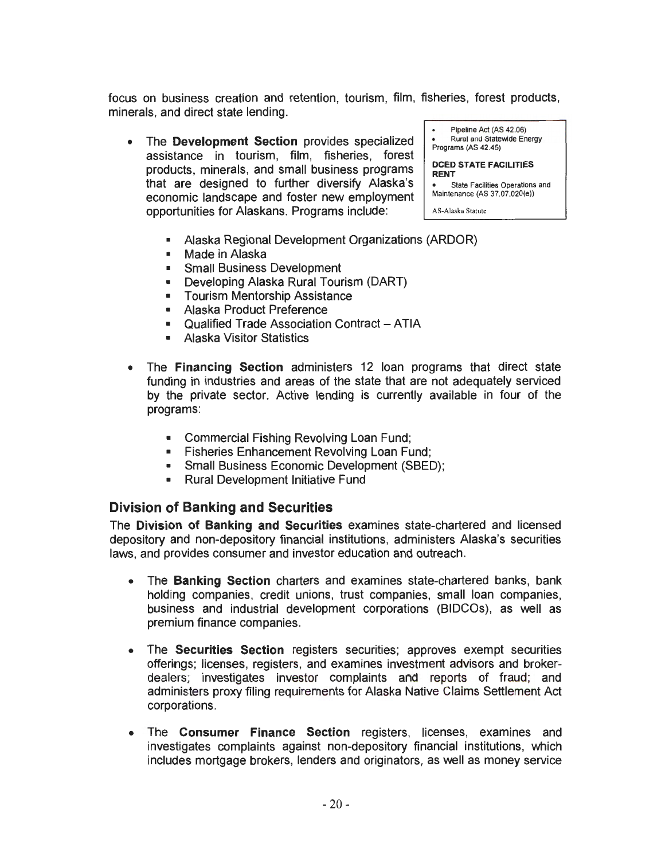focus on business creation and retention, tourism, film, fisheries, forest products, minerals, and direct state lending.

• The **Development Section** provides specialized assistance in tourism, film, fisheries, forest products, minerals, and small business programs that are designed to further diversify Alaska's economic landscape and foster new employment opportunities for Alaskans. Programs include:

```
Pipeline Act (AS 42.06) 
     Rural and Statewide Energy 
Programs (AS 42.45) 
DCED STATE FACILITIES 
RENT 
   State Facilities Operations and
```
Maintenance (AS 37.07.020(e))

AS-Alaska Statute

- Alaska Regional Development Organizations (ARDOR)
- Made in Alaska
- Small Business Development
- Developing Alaska Rural Tourism (DART)
- Tourism Mentorship Assistance
- Alaska Product Preference
- Qualified Trade Association Contract ATIA
- Alaska Visitor Statistics
- The **Financing Section** administers 12 loan programs that direct state funding in industries and areas of the state that are not adequately serviced by the private sector. Active lending is currently available in four of the programs:
	- Commercial Fishing Revolving Loan Fund;
	- Fisheries Enhancement Revolving Loan Fund;
	- Small Business Economic Development (SBED);
	- Rural Development Initiative Fund

## **Division of Banking and Securities**

The **Division of Banking and Securities** examines state-chartered and licensed depository and non-depository financial institutions, administers Alaska's securities laws, and provides consumer and investor education and outreach.

- The **Banking Section** charters and examines state-chartered banks, bank holding companies, credit unions, trust companies, small loan companies, business and industrial development corporations (BIDCOs), as well as premium finance companies.
- The **Securities Section** registers securities; approves exempt securities offerings; licenses, registers, and examines investment advisors and brokerdealers; investigates investor complaints and reports of fraud; and administers proxy filing requirements for Alaska Native Claims Settlement Act corporations.
- The **Consumer Finance Section** registers, licenses, examines and investigates complaints against non-depository financial institutions, which includes mortgage brokers, lenders and originators, as well as money service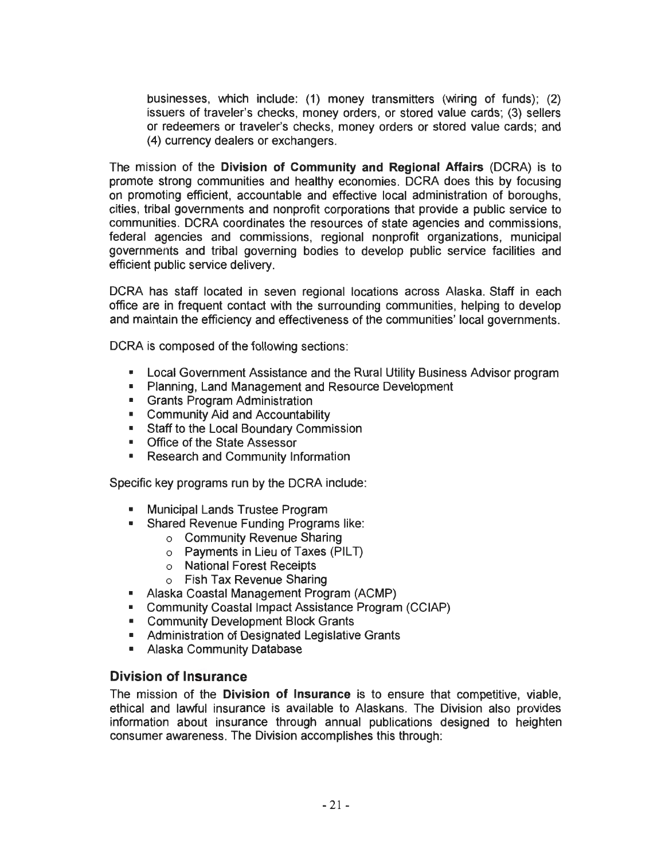businesses, which include: (1) money transmitters (wiring of funds); (2) issuers of traveler's checks, money orders, or stored value cards ; (3) sellers or redeemers or traveler's checks, money orders or stored value cards; and (4) currency dealers or exchangers.

The mission of the **Division of Community and Regional Affairs** (DCRA) is to promote strong communities and healthy economies. DCRA does this by focusing on promoting efficient, accountable and effective local administration of boroughs, cities, tribal governments and nonprofit corporations that provide a public service to communities. DCRA coordinates the resources of state agencies and commissions, federal agencies and commissions, regional nonprofit organizations, municipal governments and tribal governing bodies to develop public service facilities and efficient public service delivery.

DCRA has staff located in seven regional locations across Alaska. Staff in each office are in frequent contact with the surrounding communities, helping to develop and maintain the efficiency and effectiveness of the communities' local governments.

DCRA is composed of the following sections:

- Local Government Assistance and the Rural Utility Business Advisor program
- Planning, Land Management and Resource Development
- Grants Program Administration
- Community Aid and Accountability
- Staff to the Local Boundary Commission
- Office of the State Assessor
- Research and Community Information

Specific key programs run by the DCRA include:

- Municipal Lands Trustee Program
- Shared Revenue Funding Programs like:
	- o Community Revenue Sharing
	- $\circ$  Payments in Lieu of Taxes (PILT)
	- o National Forest Receipts
	- o Fish Tax Revenue Sharing
- Alaska Coastal Management Program (ACMP)
- Community Coastal Impact Assistance Program (CCIAP)
- Community Development Block Grants
- Administration of Designated Legislative Grants
- Alaska Community Database

## **Division of Insurance**

The mission of the **Division of Insurance** is to ensure that competitive, viable, ethical and lawful insurance is available to Alaskans. The Division also provides information about insurance through annual publications designed to heighten consumer awareness. The Division accomplishes this through: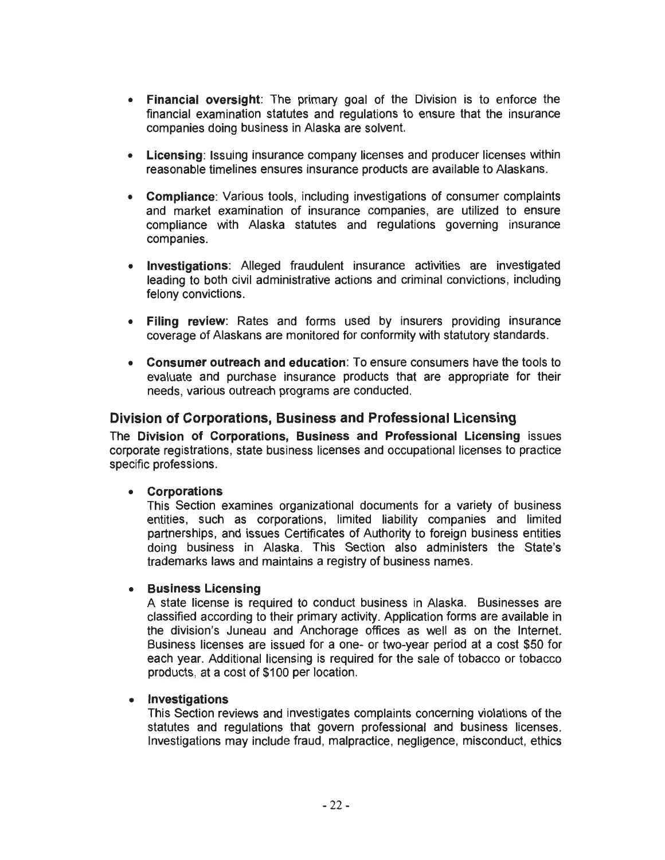- **Financial oversight:** The primary goal of the Division is to enforce the financial examination statutes and regulations to ensure that the insurance companies doing business in Alaska are solvent.
- **Licensing:** Issuing insurance company licenses and producer licenses within reasonable timelines ensures insurance products are available to Alaskans .
- **Compliance:** Various tools, including investigations of consumer complaints and market examination of insurance companies, are utilized to ensure compliance with Alaska statutes and regulations governing insurance companies.
- **Investigations:** Alleged fraudulent insurance activities are investigated leading to both civil administrative actions and criminal convictions, including felony convictions.
- **Filing review:** Rates and forms used by insurers providing insurance coverage of Alaskans are monitored for conformity with statutory standards.
- **Consumer outreach and education:** To ensure consumers have the tools to evaluate and purchase insurance products that are appropriate for their needs, various outreach programs are conducted.

## **Division of Corporations, Business and Professional Licensing**

The **Division of Corporations, Business and Professional Licensing** issues corporate registrations, state business licenses and occupational licenses to practice specific professions.

#### • **Corporations**

This Section examines organizational documents for a variety of business entities, such as corporations, limited liability companies and limited partnerships, and issues Certificates of Authority to foreign business entities doing business in Alaska. This Section also administers the State's trademarks laws and maintains a registry of business names.

#### • **Business Licensing**

A state license is required to conduct business in Alaska. Businesses are classified according to their primary activity. Application forms are available in the division's Juneau and Anchorage offices as well as on the Internet. Business licenses are issued for a one- or two-year period at a cost \$50 for each year. Additional licensing is required for the sale of tobacco or tobacco products, at a cost of \$100 per location.

## • **Investigations**

This Section reviews and investigates complaints concerning violations of the statutes and regulations that govern professional and business licenses. Investigations may include fraud, malpractice, negligence, misconduct, ethics